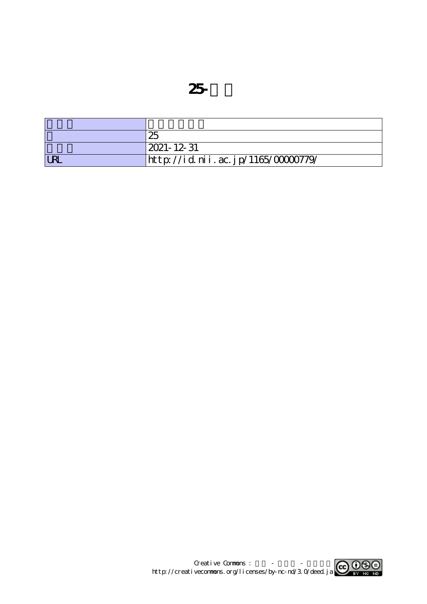| 25                                 |
|------------------------------------|
| 2021- 12- 31                       |
| http://id.nii.ac.jp/1165/00000779/ |

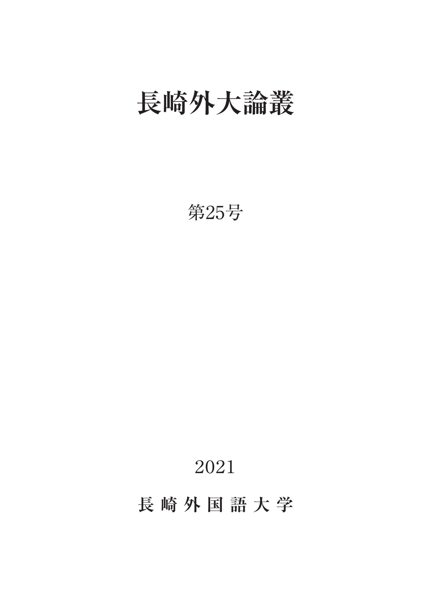## **長崎外大論叢**

第25号

## 2021

**長崎外国語大学**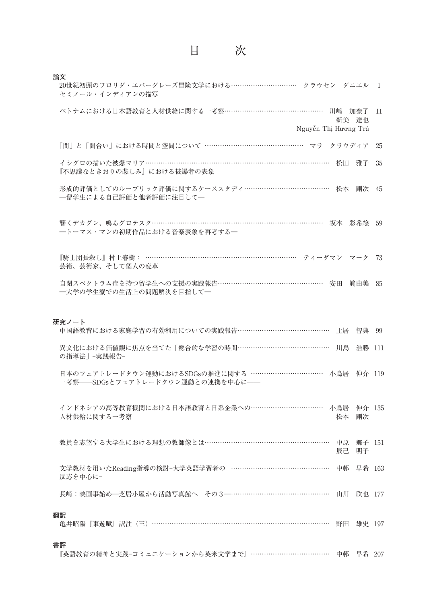| 論文<br>20世紀初頭のフロリダ・エバーグレーズ冒険文学における…………………………… クラウセン ダニエル 1<br>セミノール・インディアンの描写               |    |
|--------------------------------------------------------------------------------------------|----|
| ベトナムにおける日本語教育と人材供給に関する一考察………………………………………… 川﨑 加奈子 11<br>新美 達也<br>Nguyễn Thị Hương Trà       |    |
| 「間」と「間合い」における時間と空間について ……………………………………… マラ クラウディア                                           | 25 |
| イシグロの描いた被爆マリア………………………………………………………………………… 松田<br>雅子<br>『不思議なときおりの悲しみ』における被爆者の表象             | 35 |
| 形成的評価としてのルーブリック評価に関するケーススタディ………………………………… 松本 剛次 45<br>一留学生による自己評価と他者評価に注目して一               |    |
| 響くデカダン、鳴るグロテスク………………………………………………………………………… 坂本 彩希絵 59<br>--トーマス・マンの初期作品における音楽表象を再考する-       |    |
| 『騎士団長殺し』村上春樹: …………………………………………………………… ティーダマン マーク 73<br>芸術、芸術家、そして個人の変革                     |    |
| 自閉スペクトラム症を持つ留学生への支援の実践報告………………………………………… 安田 真由美 85<br>一大学の学生寮での生活上の問題解決を目指して一              |    |
|                                                                                            |    |
| 研究ノート<br>中国語教育における家庭学習の有効利用についての実践報告……………………………………… 土居 智典 99                               |    |
| 異文化における価値観に焦点を当てた「総合的な学習の時間……………………………………… 川島<br>浩勝 111<br>の指導法」 -実践報告-                    |    |
| 日本のフェアトレードタウン運動におけるSDGsの推進に関する ……………………………… 小鳥居 伸介 119<br>一考察––SDGsとフェアトレードタウン運動との連携を中心に–– |    |
| インドネシアの高等教育機関における日本語教育と日系企業への…………………………… 小鳥居 伸介 135<br>人材供給に関する一考察<br>松本 剛次                |    |
| 教員を志望する大学生における理想の教師像とは…………………………………………………… 中原 郷子 151<br>辰己<br>明子                           |    |
| 文学教材を用いたReading指導の検討-大学英語学習者の ……………………………………… 中邨 早希 163<br>反応を中心に-                         |    |
| 長崎:映画事始め一芝居小屋から活動写真館へ その3–………………………………………… 山川 欣也 177                                       |    |
| 翻訳<br>亀井昭陽『東遊賦』訳注 (三) ……………………………………………………………………<br>野田<br>雄史 197                           |    |
| 書評<br>『英語教育の精神と実践-コミュニケーションから英米文学まで』………………………………… 中邨 早希 207                                |    |

目 次